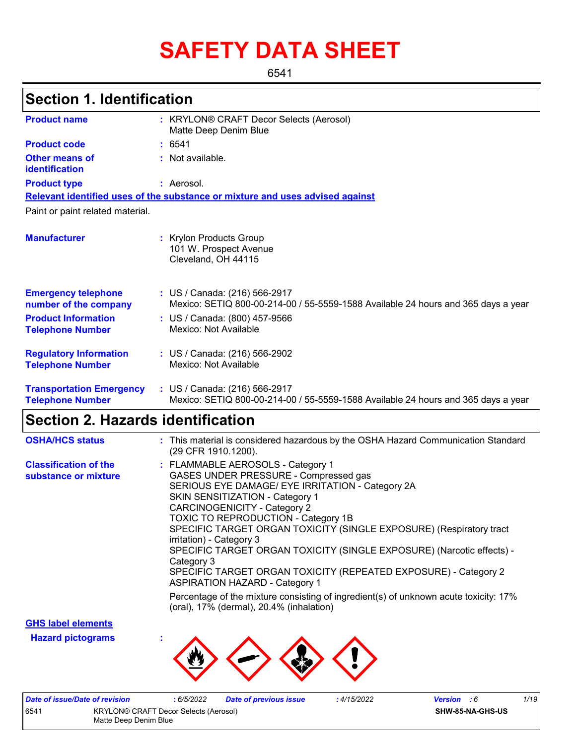# **SAFETY DATA SHEET**

6541

## **Section 1. Identification**

| <b>Product name</b>                                        | : KRYLON® CRAFT Decor Selects (Aerosol)<br>Matte Deep Denim Blue                                                   |  |
|------------------------------------------------------------|--------------------------------------------------------------------------------------------------------------------|--|
| <b>Product code</b>                                        | : 6541                                                                                                             |  |
| Other means of<br>identification                           | : Not available.                                                                                                   |  |
| <b>Product type</b>                                        | : Aerosol.                                                                                                         |  |
|                                                            | Relevant identified uses of the substance or mixture and uses advised against                                      |  |
| Paint or paint related material.                           |                                                                                                                    |  |
| <b>Manufacturer</b>                                        | : Krylon Products Group<br>101 W. Prospect Avenue<br>Cleveland, OH 44115                                           |  |
| <b>Emergency telephone</b><br>number of the company        | : US / Canada: (216) 566-2917<br>Mexico: SETIQ 800-00-214-00 / 55-5559-1588 Available 24 hours and 365 days a year |  |
| <b>Product Information</b><br><b>Telephone Number</b>      | : US / Canada: (800) 457-9566<br>Mexico: Not Available                                                             |  |
| <b>Regulatory Information</b><br><b>Telephone Number</b>   | : US / Canada: (216) 566-2902<br>Mexico: Not Available                                                             |  |
| <b>Transportation Emergency</b><br><b>Telephone Number</b> | : US / Canada: (216) 566-2917<br>Mexico: SETIQ 800-00-214-00 / 55-5559-1588 Available 24 hours and 365 days a year |  |

## **Section 2. Hazards identification**

| <b>OSHA/HCS status</b>                               | : This material is considered hazardous by the OSHA Hazard Communication Standard<br>(29 CFR 1910.1200).                                                                                                                                                                                                                                                                                                                                                                                                                                                     |
|------------------------------------------------------|--------------------------------------------------------------------------------------------------------------------------------------------------------------------------------------------------------------------------------------------------------------------------------------------------------------------------------------------------------------------------------------------------------------------------------------------------------------------------------------------------------------------------------------------------------------|
| <b>Classification of the</b><br>substance or mixture | : FLAMMABLE AEROSOLS - Category 1<br>GASES UNDER PRESSURE - Compressed gas<br>SERIOUS EYE DAMAGE/ EYE IRRITATION - Category 2A<br><b>SKIN SENSITIZATION - Category 1</b><br>CARCINOGENICITY - Category 2<br><b>TOXIC TO REPRODUCTION - Category 1B</b><br>SPECIFIC TARGET ORGAN TOXICITY (SINGLE EXPOSURE) (Respiratory tract<br>irritation) - Category 3<br>SPECIFIC TARGET ORGAN TOXICITY (SINGLE EXPOSURE) (Narcotic effects) -<br>Category 3<br>SPECIFIC TARGET ORGAN TOXICITY (REPEATED EXPOSURE) - Category 2<br><b>ASPIRATION HAZARD - Category 1</b> |
|                                                      | Percentage of the mixture consisting of ingredient(s) of unknown acute toxicity: 17%<br>(oral), 17% (dermal), 20.4% (inhalation)                                                                                                                                                                                                                                                                                                                                                                                                                             |

**GHS label elements**

**Hazard pictograms :**



|                                               | Date of issue/Date of revision | 6/5/2022 | Date of previous issue | 4/15/2022 | <b>Version</b> : 6 |  | 1/19 |
|-----------------------------------------------|--------------------------------|----------|------------------------|-----------|--------------------|--|------|
| 654'<br>KRYLON® CRAFT Decor Selects (Aerosol) |                                |          |                        |           | SHW-85-NA-GHS-US   |  |      |
| Matte Deep Denim Blue                         |                                |          |                        |           |                    |  |      |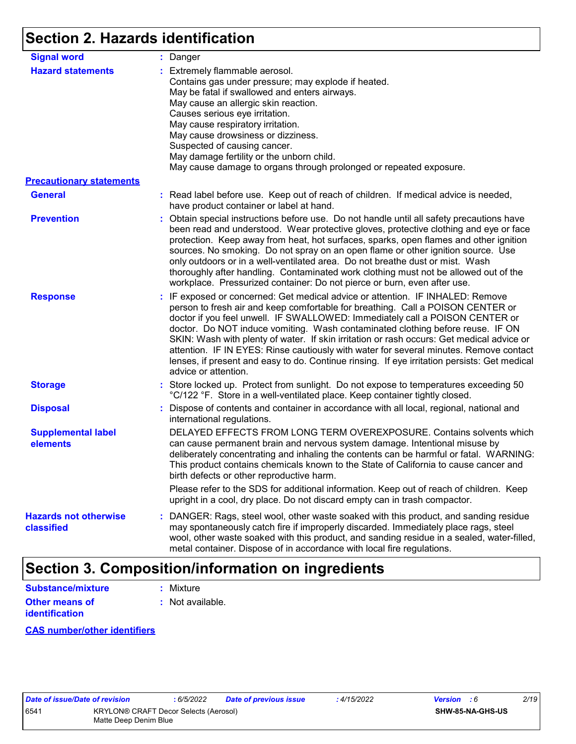# **Section 2. Hazards identification**

| <b>Signal word</b>                         | : Danger                                                                                                                                                                                                                                                                                                                                                                                                                                                                                                                                                                                                                                           |
|--------------------------------------------|----------------------------------------------------------------------------------------------------------------------------------------------------------------------------------------------------------------------------------------------------------------------------------------------------------------------------------------------------------------------------------------------------------------------------------------------------------------------------------------------------------------------------------------------------------------------------------------------------------------------------------------------------|
| <b>Hazard statements</b>                   | : Extremely flammable aerosol.<br>Contains gas under pressure; may explode if heated.<br>May be fatal if swallowed and enters airways.<br>May cause an allergic skin reaction.<br>Causes serious eye irritation.<br>May cause respiratory irritation.<br>May cause drowsiness or dizziness.<br>Suspected of causing cancer.<br>May damage fertility or the unborn child.<br>May cause damage to organs through prolonged or repeated exposure.                                                                                                                                                                                                     |
| <b>Precautionary statements</b>            |                                                                                                                                                                                                                                                                                                                                                                                                                                                                                                                                                                                                                                                    |
| <b>General</b>                             | : Read label before use. Keep out of reach of children. If medical advice is needed,<br>have product container or label at hand.                                                                                                                                                                                                                                                                                                                                                                                                                                                                                                                   |
| <b>Prevention</b>                          | : Obtain special instructions before use. Do not handle until all safety precautions have<br>been read and understood. Wear protective gloves, protective clothing and eye or face<br>protection. Keep away from heat, hot surfaces, sparks, open flames and other ignition<br>sources. No smoking. Do not spray on an open flame or other ignition source. Use<br>only outdoors or in a well-ventilated area. Do not breathe dust or mist. Wash<br>thoroughly after handling. Contaminated work clothing must not be allowed out of the<br>workplace. Pressurized container: Do not pierce or burn, even after use.                               |
| <b>Response</b>                            | : IF exposed or concerned: Get medical advice or attention. IF INHALED: Remove<br>person to fresh air and keep comfortable for breathing. Call a POISON CENTER or<br>doctor if you feel unwell. IF SWALLOWED: Immediately call a POISON CENTER or<br>doctor. Do NOT induce vomiting. Wash contaminated clothing before reuse. IF ON<br>SKIN: Wash with plenty of water. If skin irritation or rash occurs: Get medical advice or<br>attention. IF IN EYES: Rinse cautiously with water for several minutes. Remove contact<br>lenses, if present and easy to do. Continue rinsing. If eye irritation persists: Get medical<br>advice or attention. |
| <b>Storage</b>                             | : Store locked up. Protect from sunlight. Do not expose to temperatures exceeding 50<br>°C/122 °F. Store in a well-ventilated place. Keep container tightly closed.                                                                                                                                                                                                                                                                                                                                                                                                                                                                                |
| <b>Disposal</b>                            | : Dispose of contents and container in accordance with all local, regional, national and<br>international regulations.                                                                                                                                                                                                                                                                                                                                                                                                                                                                                                                             |
| <b>Supplemental label</b><br>elements      | DELAYED EFFECTS FROM LONG TERM OVEREXPOSURE. Contains solvents which<br>can cause permanent brain and nervous system damage. Intentional misuse by<br>deliberately concentrating and inhaling the contents can be harmful or fatal. WARNING:<br>This product contains chemicals known to the State of California to cause cancer and<br>birth defects or other reproductive harm.                                                                                                                                                                                                                                                                  |
|                                            | Please refer to the SDS for additional information. Keep out of reach of children. Keep<br>upright in a cool, dry place. Do not discard empty can in trash compactor.                                                                                                                                                                                                                                                                                                                                                                                                                                                                              |
| <b>Hazards not otherwise</b><br>classified | : DANGER: Rags, steel wool, other waste soaked with this product, and sanding residue<br>may spontaneously catch fire if improperly discarded. Immediately place rags, steel<br>wool, other waste soaked with this product, and sanding residue in a sealed, water-filled,<br>metal container. Dispose of in accordance with local fire regulations.                                                                                                                                                                                                                                                                                               |

## **Section 3. Composition/information on ingredients**

| <b>Substance/mixture</b> | : Mixture        |
|--------------------------|------------------|
| Other means of           | : Not available. |
| <b>identification</b>    |                  |

**CAS number/other identifiers**

|      | <i><b>Date of ISSUe/Date of revis</b></i> |
|------|-------------------------------------------|
| 3541 | <b>KRYLO</b>                              |
|      | Matte D                                   |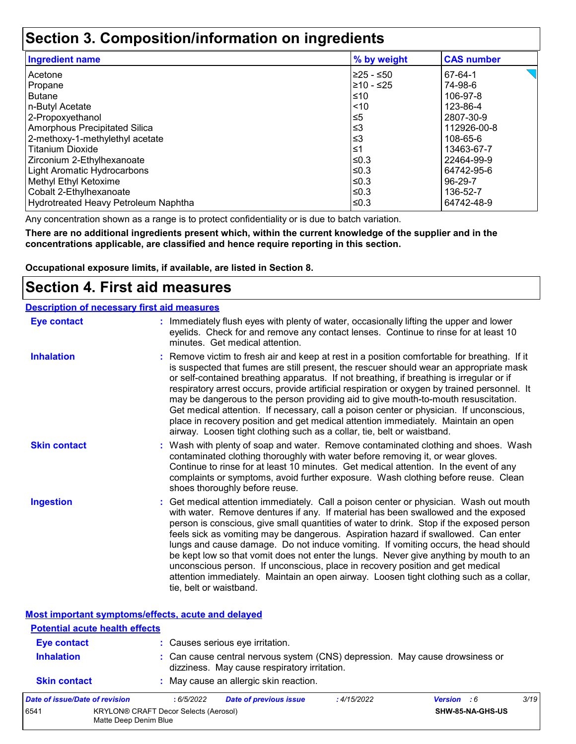## **Section 3. Composition/information on ingredients**

| <b>Ingredient name</b>               | % by weight | <b>CAS number</b> |
|--------------------------------------|-------------|-------------------|
| l Acetone                            | l≥25 - ≤50  | 67-64-1           |
| Propane                              | 210 - ≤25   | 74-98-6           |
| l Butane                             | ≤10         | 106-97-8          |
| n-Butyl Acetate                      | < 10        | 123-86-4          |
| 2-Propoxyethanol                     | $\leq 5$    | 2807-30-9         |
| Amorphous Precipitated Silica        | ≤3          | 112926-00-8       |
| 2-methoxy-1-methylethyl acetate      | ≤3          | 108-65-6          |
| l Titanium Dioxide                   | ≤1          | 13463-67-7        |
| Zirconium 2-Ethylhexanoate           | l≤0.3       | 22464-99-9        |
| Light Aromatic Hydrocarbons          | ≤0.3        | 64742-95-6        |
| Methyl Ethyl Ketoxime                | ≤0.3        | 96-29-7           |
| Cobalt 2-Ethylhexanoate              | ≤0.3        | 136-52-7          |
| Hydrotreated Heavy Petroleum Naphtha | ≤0.3        | 64742-48-9        |

Any concentration shown as a range is to protect confidentiality or is due to batch variation.

**There are no additional ingredients present which, within the current knowledge of the supplier and in the concentrations applicable, are classified and hence require reporting in this section.**

**Occupational exposure limits, if available, are listed in Section 8.**

## **Section 4. First aid measures**

|                     | <b>Description of necessary first aid measures</b>                                                                                                                                                                                                                                                                                                                                                                                                                                                                                                                                                                                                                                                                                                      |
|---------------------|---------------------------------------------------------------------------------------------------------------------------------------------------------------------------------------------------------------------------------------------------------------------------------------------------------------------------------------------------------------------------------------------------------------------------------------------------------------------------------------------------------------------------------------------------------------------------------------------------------------------------------------------------------------------------------------------------------------------------------------------------------|
| <b>Eye contact</b>  | : Immediately flush eyes with plenty of water, occasionally lifting the upper and lower<br>eyelids. Check for and remove any contact lenses. Continue to rinse for at least 10<br>minutes. Get medical attention.                                                                                                                                                                                                                                                                                                                                                                                                                                                                                                                                       |
| <b>Inhalation</b>   | : Remove victim to fresh air and keep at rest in a position comfortable for breathing. If it<br>is suspected that fumes are still present, the rescuer should wear an appropriate mask<br>or self-contained breathing apparatus. If not breathing, if breathing is irregular or if<br>respiratory arrest occurs, provide artificial respiration or oxygen by trained personnel. It<br>may be dangerous to the person providing aid to give mouth-to-mouth resuscitation.<br>Get medical attention. If necessary, call a poison center or physician. If unconscious,<br>place in recovery position and get medical attention immediately. Maintain an open<br>airway. Loosen tight clothing such as a collar, tie, belt or waistband.                    |
| <b>Skin contact</b> | : Wash with plenty of soap and water. Remove contaminated clothing and shoes. Wash<br>contaminated clothing thoroughly with water before removing it, or wear gloves.<br>Continue to rinse for at least 10 minutes. Get medical attention. In the event of any<br>complaints or symptoms, avoid further exposure. Wash clothing before reuse. Clean<br>shoes thoroughly before reuse.                                                                                                                                                                                                                                                                                                                                                                   |
| <b>Ingestion</b>    | : Get medical attention immediately. Call a poison center or physician. Wash out mouth<br>with water. Remove dentures if any. If material has been swallowed and the exposed<br>person is conscious, give small quantities of water to drink. Stop if the exposed person<br>feels sick as vomiting may be dangerous. Aspiration hazard if swallowed. Can enter<br>lungs and cause damage. Do not induce vomiting. If vomiting occurs, the head should<br>be kept low so that vomit does not enter the lungs. Never give anything by mouth to an<br>unconscious person. If unconscious, place in recovery position and get medical<br>attention immediately. Maintain an open airway. Loosen tight clothing such as a collar,<br>tie, belt or waistband. |

**Most important symptoms/effects, acute and delayed**

|                                         | <b>Potential acute health effects</b> |                                       |                                                                                                                              |            |                    |      |  |
|-----------------------------------------|---------------------------------------|---------------------------------------|------------------------------------------------------------------------------------------------------------------------------|------------|--------------------|------|--|
| <b>Eye contact</b><br><b>Inhalation</b> |                                       |                                       | : Causes serious eye irritation.                                                                                             |            |                    |      |  |
|                                         |                                       |                                       | : Can cause central nervous system (CNS) depression. May cause drowsiness or<br>dizziness. May cause respiratory irritation. |            |                    |      |  |
| <b>Skin contact</b>                     |                                       |                                       | : May cause an allergic skin reaction.                                                                                       |            |                    |      |  |
|                                         | Date of issue/Date of revision        | :6/5/2022                             | <b>Date of previous issue</b>                                                                                                | :4/15/2022 | <b>Version</b> : 6 | 3/19 |  |
| 6541                                    | Matte Deep Denim Blue                 | KRYLON® CRAFT Decor Selects (Aerosol) |                                                                                                                              |            | SHW-85-NA-GHS-US   |      |  |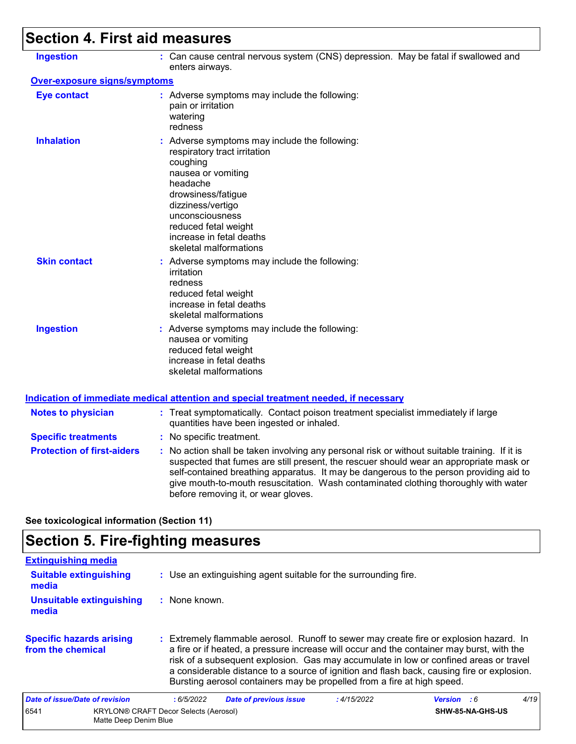# **Section 4. First aid measures**

| : Can cause central nervous system (CNS) depression. May be fatal if swallowed and<br>enters airways.<br>Over-exposure signs/symptoms                                                                                                                                                                                                                                                                           |
|-----------------------------------------------------------------------------------------------------------------------------------------------------------------------------------------------------------------------------------------------------------------------------------------------------------------------------------------------------------------------------------------------------------------|
|                                                                                                                                                                                                                                                                                                                                                                                                                 |
|                                                                                                                                                                                                                                                                                                                                                                                                                 |
| : Adverse symptoms may include the following:<br>pain or irritation<br>watering<br>redness                                                                                                                                                                                                                                                                                                                      |
| : Adverse symptoms may include the following:<br>respiratory tract irritation<br>coughing<br>nausea or vomiting<br>headache<br>drowsiness/fatigue<br>dizziness/vertigo<br>unconsciousness<br>reduced fetal weight<br>increase in fetal deaths<br>skeletal malformations                                                                                                                                         |
| : Adverse symptoms may include the following:<br>irritation<br>redness<br>reduced fetal weight<br>increase in fetal deaths<br>skeletal malformations                                                                                                                                                                                                                                                            |
| : Adverse symptoms may include the following:<br>nausea or vomiting<br>reduced fetal weight<br>increase in fetal deaths<br>skeletal malformations                                                                                                                                                                                                                                                               |
| <b>Indication of immediate medical attention and special treatment needed, if necessary</b>                                                                                                                                                                                                                                                                                                                     |
| : Treat symptomatically. Contact poison treatment specialist immediately if large<br>quantities have been ingested or inhaled.                                                                                                                                                                                                                                                                                  |
| : No specific treatment.                                                                                                                                                                                                                                                                                                                                                                                        |
| : No action shall be taken involving any personal risk or without suitable training. If it is<br>suspected that fumes are still present, the rescuer should wear an appropriate mask or<br>self-contained breathing apparatus. It may be dangerous to the person providing aid to<br>give mouth-to-mouth resuscitation. Wash contaminated clothing thoroughly with water<br>before removing it, or wear gloves. |
|                                                                                                                                                                                                                                                                                                                                                                                                                 |

**See toxicological information (Section 11)**

# **Section 5. Fire-fighting measures**

| <b>Extinguishing media</b>                           |                                                                                                                                                                                                                                                                                                                                                                                                                                                       |      |  |  |  |
|------------------------------------------------------|-------------------------------------------------------------------------------------------------------------------------------------------------------------------------------------------------------------------------------------------------------------------------------------------------------------------------------------------------------------------------------------------------------------------------------------------------------|------|--|--|--|
| <b>Suitable extinguishing</b><br>media               | : Use an extinguishing agent suitable for the surrounding fire.                                                                                                                                                                                                                                                                                                                                                                                       |      |  |  |  |
| <b>Unsuitable extinguishing</b><br>media             | : None known.                                                                                                                                                                                                                                                                                                                                                                                                                                         |      |  |  |  |
| <b>Specific hazards arising</b><br>from the chemical | : Extremely flammable aerosol. Runoff to sewer may create fire or explosion hazard. In<br>a fire or if heated, a pressure increase will occur and the container may burst, with the<br>risk of a subsequent explosion. Gas may accumulate in low or confined areas or travel<br>a considerable distance to a source of ignition and flash back, causing fire or explosion.<br>Bursting aerosol containers may be propelled from a fire at high speed. |      |  |  |  |
| Date of issue/Date of revision                       | <b>Date of previous issue</b><br>:6/5/2022<br>:4/15/2022<br><b>Version</b> : 6                                                                                                                                                                                                                                                                                                                                                                        | 4/19 |  |  |  |
| 6541<br>Matte Deep Denim Blue                        | <b>KRYLON® CRAFT Decor Selects (Aerosol)</b><br>SHW-85-NA-GHS-US                                                                                                                                                                                                                                                                                                                                                                                      |      |  |  |  |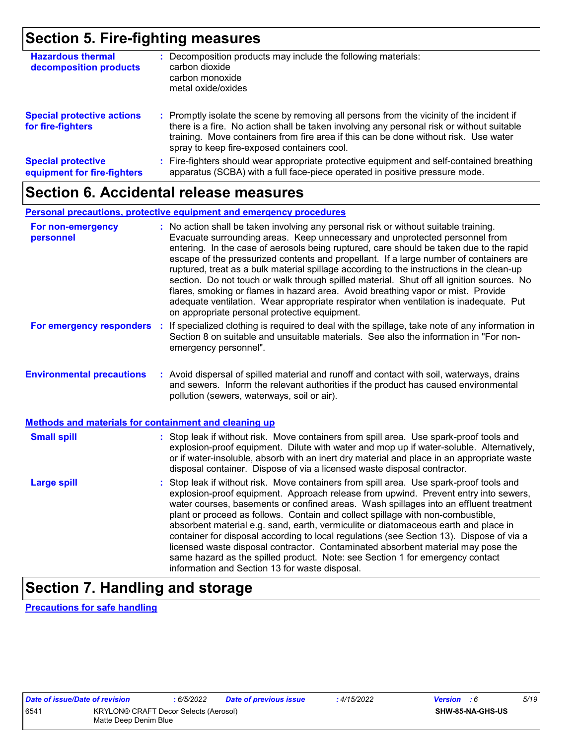## **Section 5. Fire-fighting measures**

| <b>Hazardous thermal</b><br>decomposition products       | Decomposition products may include the following materials:<br>carbon dioxide<br>carbon monoxide<br>metal oxide/oxides                                                                                                                                                                                                        |
|----------------------------------------------------------|-------------------------------------------------------------------------------------------------------------------------------------------------------------------------------------------------------------------------------------------------------------------------------------------------------------------------------|
| <b>Special protective actions</b><br>for fire-fighters   | : Promptly isolate the scene by removing all persons from the vicinity of the incident if<br>there is a fire. No action shall be taken involving any personal risk or without suitable<br>training. Move containers from fire area if this can be done without risk. Use water<br>spray to keep fire-exposed containers cool. |
| <b>Special protective</b><br>equipment for fire-fighters | Fire-fighters should wear appropriate protective equipment and self-contained breathing<br>apparatus (SCBA) with a full face-piece operated in positive pressure mode.                                                                                                                                                        |

## **Section 6. Accidental release measures**

### **Personal precautions, protective equipment and emergency procedures**

| For non-emergency<br>personnel                        |  | : No action shall be taken involving any personal risk or without suitable training.<br>Evacuate surrounding areas. Keep unnecessary and unprotected personnel from<br>entering. In the case of aerosols being ruptured, care should be taken due to the rapid<br>escape of the pressurized contents and propellant. If a large number of containers are<br>ruptured, treat as a bulk material spillage according to the instructions in the clean-up<br>section. Do not touch or walk through spilled material. Shut off all ignition sources. No<br>flares, smoking or flames in hazard area. Avoid breathing vapor or mist. Provide<br>adequate ventilation. Wear appropriate respirator when ventilation is inadequate. Put<br>on appropriate personal protective equipment. |  |  |  |
|-------------------------------------------------------|--|----------------------------------------------------------------------------------------------------------------------------------------------------------------------------------------------------------------------------------------------------------------------------------------------------------------------------------------------------------------------------------------------------------------------------------------------------------------------------------------------------------------------------------------------------------------------------------------------------------------------------------------------------------------------------------------------------------------------------------------------------------------------------------|--|--|--|
| For emergency responders                              |  | : If specialized clothing is required to deal with the spillage, take note of any information in<br>Section 8 on suitable and unsuitable materials. See also the information in "For non-<br>emergency personnel".                                                                                                                                                                                                                                                                                                                                                                                                                                                                                                                                                               |  |  |  |
| <b>Environmental precautions</b>                      |  | : Avoid dispersal of spilled material and runoff and contact with soil, waterways, drains<br>and sewers. Inform the relevant authorities if the product has caused environmental<br>pollution (sewers, waterways, soil or air).                                                                                                                                                                                                                                                                                                                                                                                                                                                                                                                                                  |  |  |  |
| Methods and materials for containment and cleaning up |  |                                                                                                                                                                                                                                                                                                                                                                                                                                                                                                                                                                                                                                                                                                                                                                                  |  |  |  |
| <b>Small spill</b>                                    |  | : Stop leak if without risk. Move containers from spill area. Use spark-proof tools and<br>explosion-proof equipment. Dilute with water and mop up if water-soluble. Alternatively,<br>or if water-insoluble, absorb with an inert dry material and place in an appropriate waste<br>disposal container. Dispose of via a licensed waste disposal contractor.                                                                                                                                                                                                                                                                                                                                                                                                                    |  |  |  |
| <b>Large spill</b>                                    |  | : Stop leak if without risk. Move containers from spill area. Use spark-proof tools and<br>explosion-proof equipment. Approach release from upwind. Prevent entry into sewers,<br>water courses, basements or confined areas. Wash spillages into an effluent treatment<br>plant or proceed as follows. Contain and collect spillage with non-combustible,<br>absorbent material e.g. sand, earth, vermiculite or diatomaceous earth and place in<br>container for disposal according to local regulations (see Section 13). Dispose of via a<br>licensed waste disposal contractor. Contaminated absorbent material may pose the<br>same hazard as the spilled product. Note: see Section 1 for emergency contact<br>information and Section 13 for waste disposal.             |  |  |  |

## **Section 7. Handling and storage**

**Precautions for safe handling**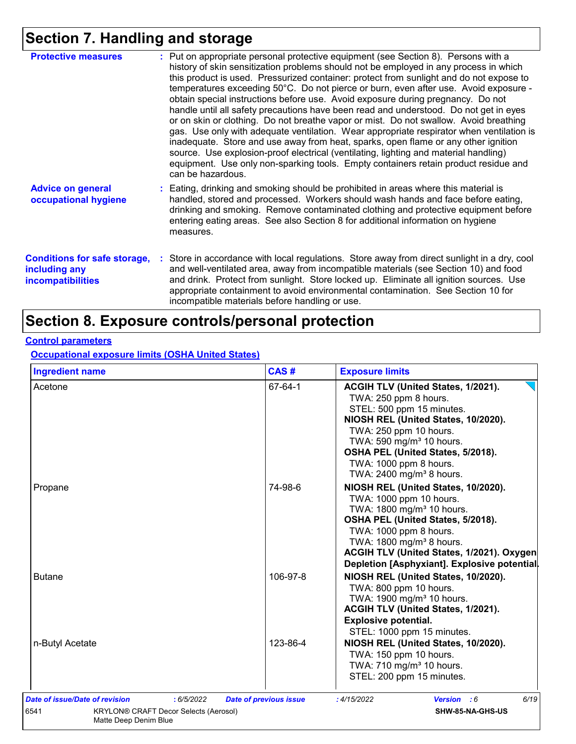# **Section 7. Handling and storage**

| <b>Protective measures</b>                                                       | : Put on appropriate personal protective equipment (see Section 8). Persons with a<br>history of skin sensitization problems should not be employed in any process in which<br>this product is used. Pressurized container: protect from sunlight and do not expose to<br>temperatures exceeding 50°C. Do not pierce or burn, even after use. Avoid exposure -<br>obtain special instructions before use. Avoid exposure during pregnancy. Do not<br>handle until all safety precautions have been read and understood. Do not get in eyes<br>or on skin or clothing. Do not breathe vapor or mist. Do not swallow. Avoid breathing<br>gas. Use only with adequate ventilation. Wear appropriate respirator when ventilation is<br>inadequate. Store and use away from heat, sparks, open flame or any other ignition<br>source. Use explosion-proof electrical (ventilating, lighting and material handling)<br>equipment. Use only non-sparking tools. Empty containers retain product residue and<br>can be hazardous. |
|----------------------------------------------------------------------------------|---------------------------------------------------------------------------------------------------------------------------------------------------------------------------------------------------------------------------------------------------------------------------------------------------------------------------------------------------------------------------------------------------------------------------------------------------------------------------------------------------------------------------------------------------------------------------------------------------------------------------------------------------------------------------------------------------------------------------------------------------------------------------------------------------------------------------------------------------------------------------------------------------------------------------------------------------------------------------------------------------------------------------|
| <b>Advice on general</b><br>occupational hygiene                                 | : Eating, drinking and smoking should be prohibited in areas where this material is<br>handled, stored and processed. Workers should wash hands and face before eating,<br>drinking and smoking. Remove contaminated clothing and protective equipment before<br>entering eating areas. See also Section 8 for additional information on hygiene<br>measures.                                                                                                                                                                                                                                                                                                                                                                                                                                                                                                                                                                                                                                                             |
| <b>Conditions for safe storage,</b><br>including any<br><b>incompatibilities</b> | : Store in accordance with local regulations. Store away from direct sunlight in a dry, cool<br>and well-ventilated area, away from incompatible materials (see Section 10) and food<br>and drink. Protect from sunlight. Store locked up. Eliminate all ignition sources. Use<br>appropriate containment to avoid environmental contamination. See Section 10 for<br>incompatible materials before handling or use.                                                                                                                                                                                                                                                                                                                                                                                                                                                                                                                                                                                                      |

## **Section 8. Exposure controls/personal protection**

## **Control parameters**

**Occupational exposure limits (OSHA United States)**

| <b>Ingredient name</b>                                                                                                 | CAS#                          | <b>Exposure limits</b>                                                                                                                                                                                                                                                                                      |
|------------------------------------------------------------------------------------------------------------------------|-------------------------------|-------------------------------------------------------------------------------------------------------------------------------------------------------------------------------------------------------------------------------------------------------------------------------------------------------------|
| Acetone                                                                                                                | 67-64-1                       | ACGIH TLV (United States, 1/2021).<br>TWA: 250 ppm 8 hours.<br>STEL: 500 ppm 15 minutes.<br>NIOSH REL (United States, 10/2020).<br>TWA: 250 ppm 10 hours.<br>TWA: 590 mg/m <sup>3</sup> 10 hours.<br>OSHA PEL (United States, 5/2018).<br>TWA: 1000 ppm 8 hours.<br>TWA: 2400 mg/m <sup>3</sup> 8 hours.    |
| Propane                                                                                                                | 74-98-6                       | NIOSH REL (United States, 10/2020).<br>TWA: 1000 ppm 10 hours.<br>TWA: 1800 mg/m <sup>3</sup> 10 hours.<br>OSHA PEL (United States, 5/2018).<br>TWA: 1000 ppm 8 hours.<br>TWA: 1800 mg/m <sup>3</sup> 8 hours.<br>ACGIH TLV (United States, 1/2021). Oxygen<br>Depletion [Asphyxiant]. Explosive potential. |
| <b>Butane</b>                                                                                                          | 106-97-8                      | NIOSH REL (United States, 10/2020).<br>TWA: 800 ppm 10 hours.<br>TWA: 1900 mg/m <sup>3</sup> 10 hours.<br>ACGIH TLV (United States, 1/2021).<br><b>Explosive potential.</b><br>STEL: 1000 ppm 15 minutes.                                                                                                   |
| n-Butyl Acetate                                                                                                        | 123-86-4                      | NIOSH REL (United States, 10/2020).<br>TWA: 150 ppm 10 hours.<br>TWA: 710 mg/m <sup>3</sup> 10 hours.<br>STEL: 200 ppm 15 minutes.                                                                                                                                                                          |
| Date of issue/Date of revision<br>: 6/5/2022<br>KRYLON® CRAFT Decor Selects (Aerosol)<br>6541<br>Matte Deep Denim Blue | <b>Date of previous issue</b> | 6/19<br>:4/15/2022<br><b>Version</b> : 6<br>SHW-85-NA-GHS-US                                                                                                                                                                                                                                                |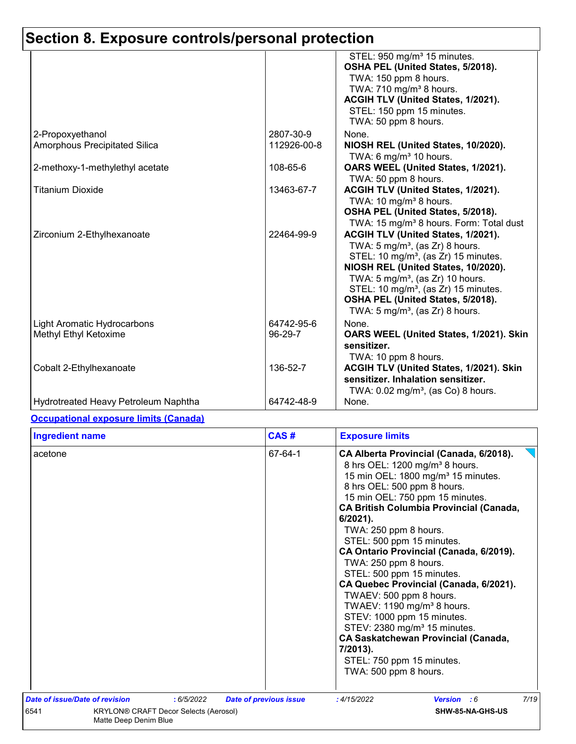# **Section 8. Exposure controls/personal protection**

|                                                             |                          | STEL: 950 mg/m <sup>3</sup> 15 minutes.<br>OSHA PEL (United States, 5/2018).<br>TWA: 150 ppm 8 hours.                                                                                                                                                                                                                                                              |
|-------------------------------------------------------------|--------------------------|--------------------------------------------------------------------------------------------------------------------------------------------------------------------------------------------------------------------------------------------------------------------------------------------------------------------------------------------------------------------|
|                                                             |                          | TWA: $710$ mg/m <sup>3</sup> 8 hours.<br>ACGIH TLV (United States, 1/2021).<br>STEL: 150 ppm 15 minutes.<br>TWA: 50 ppm 8 hours.                                                                                                                                                                                                                                   |
| 2-Propoxyethanol<br>Amorphous Precipitated Silica           | 2807-30-9<br>112926-00-8 | None.<br>NIOSH REL (United States, 10/2020).<br>TWA: 6 $mg/m3$ 10 hours.                                                                                                                                                                                                                                                                                           |
| 2-methoxy-1-methylethyl acetate                             | 108-65-6                 | OARS WEEL (United States, 1/2021).<br>TWA: 50 ppm 8 hours.                                                                                                                                                                                                                                                                                                         |
| <b>Titanium Dioxide</b>                                     | 13463-67-7               | ACGIH TLV (United States, 1/2021).<br>TWA: 10 mg/m <sup>3</sup> 8 hours.<br>OSHA PEL (United States, 5/2018).<br>TWA: 15 mg/m <sup>3</sup> 8 hours. Form: Total dust                                                                                                                                                                                               |
| Zirconium 2-Ethylhexanoate                                  | 22464-99-9               | ACGIH TLV (United States, 1/2021).<br>TWA: $5 \text{ mg/m}^3$ , (as Zr) 8 hours.<br>STEL: 10 mg/m <sup>3</sup> , (as Zr) 15 minutes.<br>NIOSH REL (United States, 10/2020).<br>TWA: $5 \text{ mg/m}^3$ , (as Zr) 10 hours.<br>STEL: 10 mg/m <sup>3</sup> , (as Zr) 15 minutes.<br>OSHA PEL (United States, 5/2018).<br>TWA: 5 mg/m <sup>3</sup> , (as Zr) 8 hours. |
| <b>Light Aromatic Hydrocarbons</b><br>Methyl Ethyl Ketoxime | 64742-95-6<br>96-29-7    | None.<br>OARS WEEL (United States, 1/2021). Skin<br>sensitizer.<br>TWA: 10 ppm 8 hours.                                                                                                                                                                                                                                                                            |
| Cobalt 2-Ethylhexanoate                                     | 136-52-7                 | ACGIH TLV (United States, 1/2021). Skin<br>sensitizer. Inhalation sensitizer.<br>TWA: 0.02 mg/m <sup>3</sup> , (as Co) 8 hours.                                                                                                                                                                                                                                    |
| Hydrotreated Heavy Petroleum Naphtha                        | 64742-48-9               | None.                                                                                                                                                                                                                                                                                                                                                              |

## **Occupational exposure limits (Canada)**

| acetone                                      | 67-64-1                       | CA Alberta Provincial (Canada, 6/2018).<br>8 hrs OEL: 1200 mg/m <sup>3</sup> 8 hours.<br>15 min OEL: 1800 mg/m <sup>3</sup> 15 minutes.<br>8 hrs OEL: 500 ppm 8 hours.<br>15 min OEL: 750 ppm 15 minutes.<br><b>CA British Columbia Provincial (Canada,</b><br>$6/2021$ ).<br>TWA: 250 ppm 8 hours.<br>STEL: 500 ppm 15 minutes.<br>CA Ontario Provincial (Canada, 6/2019).<br>TWA: 250 ppm 8 hours.<br>STEL: 500 ppm 15 minutes.<br>CA Quebec Provincial (Canada, 6/2021).<br>TWAEV: 500 ppm 8 hours.<br>TWAEV: 1190 mg/m <sup>3</sup> 8 hours.<br>STEV: 1000 ppm 15 minutes.<br>STEV: 2380 mg/m <sup>3</sup> 15 minutes.<br><b>CA Saskatchewan Provincial (Canada,</b><br>7/2013).<br>STEL: 750 ppm 15 minutes.<br>TWA: 500 ppm 8 hours. |      |
|----------------------------------------------|-------------------------------|--------------------------------------------------------------------------------------------------------------------------------------------------------------------------------------------------------------------------------------------------------------------------------------------------------------------------------------------------------------------------------------------------------------------------------------------------------------------------------------------------------------------------------------------------------------------------------------------------------------------------------------------------------------------------------------------------------------------------------------------|------|
| Date of issue/Date of revision<br>: 6/5/2022 | <b>Date of previous issue</b> | :4/15/2022<br>Version : 6                                                                                                                                                                                                                                                                                                                                                                                                                                                                                                                                                                                                                                                                                                                  | 7/19 |
|                                              |                               |                                                                                                                                                                                                                                                                                                                                                                                                                                                                                                                                                                                                                                                                                                                                            |      |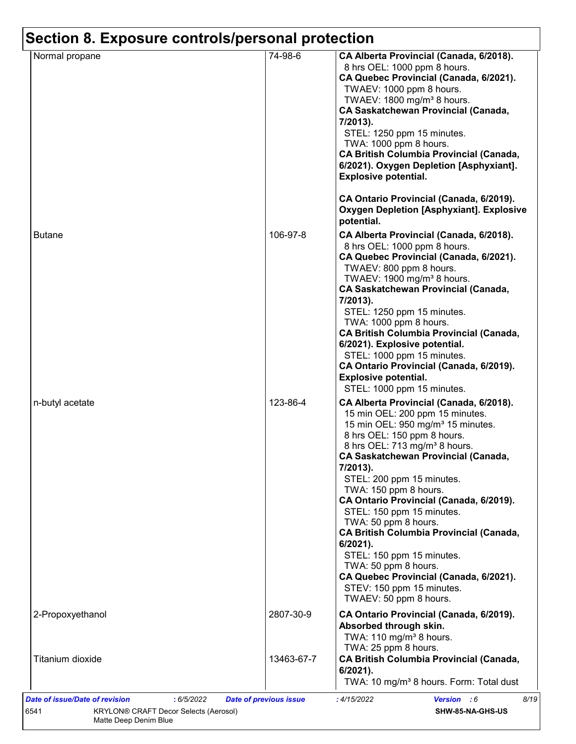| Normal propane   | 74-98-6    | CA Alberta Provincial (Canada, 6/2018).                                                                                                                                                                                                                                                                                                                                                                                                                                                                                                                                                          |
|------------------|------------|--------------------------------------------------------------------------------------------------------------------------------------------------------------------------------------------------------------------------------------------------------------------------------------------------------------------------------------------------------------------------------------------------------------------------------------------------------------------------------------------------------------------------------------------------------------------------------------------------|
|                  |            | 8 hrs OEL: 1000 ppm 8 hours.<br>CA Quebec Provincial (Canada, 6/2021).<br>TWAEV: 1000 ppm 8 hours.                                                                                                                                                                                                                                                                                                                                                                                                                                                                                               |
|                  |            | TWAEV: 1800 mg/m <sup>3</sup> 8 hours.<br><b>CA Saskatchewan Provincial (Canada,</b><br>7/2013).                                                                                                                                                                                                                                                                                                                                                                                                                                                                                                 |
|                  |            | STEL: 1250 ppm 15 minutes.<br>TWA: 1000 ppm 8 hours.                                                                                                                                                                                                                                                                                                                                                                                                                                                                                                                                             |
|                  |            | <b>CA British Columbia Provincial (Canada,</b><br>6/2021). Oxygen Depletion [Asphyxiant].<br><b>Explosive potential.</b>                                                                                                                                                                                                                                                                                                                                                                                                                                                                         |
|                  |            | CA Ontario Provincial (Canada, 6/2019).<br><b>Oxygen Depletion [Asphyxiant]. Explosive</b><br>potential.                                                                                                                                                                                                                                                                                                                                                                                                                                                                                         |
| <b>Butane</b>    | 106-97-8   | CA Alberta Provincial (Canada, 6/2018).<br>8 hrs OEL: 1000 ppm 8 hours.<br>CA Quebec Provincial (Canada, 6/2021).<br>TWAEV: 800 ppm 8 hours.<br>TWAEV: 1900 mg/m <sup>3</sup> 8 hours.<br><b>CA Saskatchewan Provincial (Canada,</b><br>7/2013).<br>STEL: 1250 ppm 15 minutes.<br>TWA: 1000 ppm 8 hours.<br><b>CA British Columbia Provincial (Canada,</b><br>6/2021). Explosive potential.<br>STEL: 1000 ppm 15 minutes.<br>CA Ontario Provincial (Canada, 6/2019).<br><b>Explosive potential.</b>                                                                                              |
| n-butyl acetate  | 123-86-4   | STEL: 1000 ppm 15 minutes.<br>CA Alberta Provincial (Canada, 6/2018).                                                                                                                                                                                                                                                                                                                                                                                                                                                                                                                            |
|                  |            | 15 min OEL: 200 ppm 15 minutes.<br>15 min OEL: 950 mg/m <sup>3</sup> 15 minutes.<br>8 hrs OEL: 150 ppm 8 hours.<br>8 hrs OEL: 713 mg/m <sup>3</sup> 8 hours.<br><b>CA Saskatchewan Provincial (Canada,</b><br>7/2013).<br>STEL: 200 ppm 15 minutes.<br>TWA: 150 ppm 8 hours.<br>CA Ontario Provincial (Canada, 6/2019).<br>STEL: 150 ppm 15 minutes.<br>TWA: 50 ppm 8 hours.<br><b>CA British Columbia Provincial (Canada,</b><br>6/2021).<br>STEL: 150 ppm 15 minutes.<br>TWA: 50 ppm 8 hours.<br>CA Quebec Provincial (Canada, 6/2021).<br>STEV: 150 ppm 15 minutes.<br>TWAEV: 50 ppm 8 hours. |
| 2-Propoxyethanol | 2807-30-9  | CA Ontario Provincial (Canada, 6/2019).<br>Absorbed through skin.<br>TWA: 110 mg/m <sup>3</sup> 8 hours.<br>TWA: 25 ppm 8 hours.                                                                                                                                                                                                                                                                                                                                                                                                                                                                 |
| Titanium dioxide | 13463-67-7 | <b>CA British Columbia Provincial (Canada,</b><br>$6/2021$ ).<br>TWA: 10 mg/m <sup>3</sup> 8 hours. Form: Total dust                                                                                                                                                                                                                                                                                                                                                                                                                                                                             |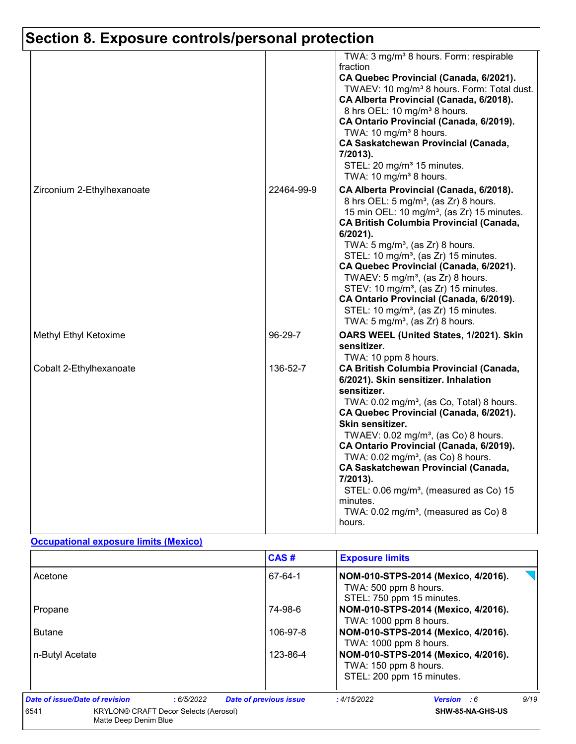# **Section 8. Exposure controls/personal protection**

|                            |            | TWA: 3 mg/m <sup>3</sup> 8 hours. Form: respirable<br>fraction<br>CA Quebec Provincial (Canada, 6/2021).<br>TWAEV: 10 mg/m <sup>3</sup> 8 hours. Form: Total dust.<br>CA Alberta Provincial (Canada, 6/2018).<br>8 hrs OEL: 10 mg/m <sup>3</sup> 8 hours.<br>CA Ontario Provincial (Canada, 6/2019).<br>TWA: 10 mg/m <sup>3</sup> 8 hours.<br><b>CA Saskatchewan Provincial (Canada,</b><br>7/2013).<br>STEL: 20 mg/m <sup>3</sup> 15 minutes.<br>TWA: 10 mg/m <sup>3</sup> 8 hours.                                                                                                                              |
|----------------------------|------------|-------------------------------------------------------------------------------------------------------------------------------------------------------------------------------------------------------------------------------------------------------------------------------------------------------------------------------------------------------------------------------------------------------------------------------------------------------------------------------------------------------------------------------------------------------------------------------------------------------------------|
| Zirconium 2-Ethylhexanoate | 22464-99-9 | CA Alberta Provincial (Canada, 6/2018).<br>8 hrs OEL: 5 mg/m <sup>3</sup> , (as Zr) 8 hours.<br>15 min OEL: 10 mg/m <sup>3</sup> , (as Zr) 15 minutes.<br><b>CA British Columbia Provincial (Canada,</b><br>6/2021).<br>TWA: $5 \text{ mg/m}^3$ , (as Zr) 8 hours.<br>STEL: 10 mg/m <sup>3</sup> , (as Zr) 15 minutes.<br>CA Quebec Provincial (Canada, 6/2021).<br>TWAEV: $5 \text{ mg/m}^3$ , (as Zr) 8 hours.<br>STEV: 10 mg/m <sup>3</sup> , (as Zr) 15 minutes.<br>CA Ontario Provincial (Canada, 6/2019).<br>STEL: 10 mg/m <sup>3</sup> , (as Zr) 15 minutes.<br>TWA: $5 \text{ mg/m}^3$ , (as Zr) 8 hours. |
| Methyl Ethyl Ketoxime      | 96-29-7    | OARS WEEL (United States, 1/2021). Skin<br>sensitizer.<br>TWA: 10 ppm 8 hours.                                                                                                                                                                                                                                                                                                                                                                                                                                                                                                                                    |
| Cobalt 2-Ethylhexanoate    | 136-52-7   | <b>CA British Columbia Provincial (Canada,</b><br>6/2021). Skin sensitizer. Inhalation<br>sensitizer.<br>TWA: 0.02 mg/m <sup>3</sup> , (as Co, Total) 8 hours.<br>CA Quebec Provincial (Canada, 6/2021).<br>Skin sensitizer.<br>TWAEV: 0.02 mg/m <sup>3</sup> , (as Co) 8 hours.<br>CA Ontario Provincial (Canada, 6/2019).<br>TWA: $0.02$ mg/m <sup>3</sup> , (as Co) 8 hours.<br><b>CA Saskatchewan Provincial (Canada,</b><br>7/2013).<br>STEL: 0.06 mg/m <sup>3</sup> , (measured as Co) 15<br>minutes.<br>TWA: 0.02 mg/m <sup>3</sup> , (measured as Co) 8<br>hours.                                         |

#### **Occupational exposure limits (Mexico)**

|                                                                               |           | CAS#                          | <b>Exposure limits</b>                                                                    |                                     |      |
|-------------------------------------------------------------------------------|-----------|-------------------------------|-------------------------------------------------------------------------------------------|-------------------------------------|------|
| Acetone                                                                       |           | 67-64-1                       | NOM-010-STPS-2014 (Mexico, 4/2016).<br>TWA: 500 ppm 8 hours.<br>STEL: 750 ppm 15 minutes. |                                     |      |
| Propane                                                                       |           | 74-98-6                       | TWA: 1000 ppm 8 hours.                                                                    | NOM-010-STPS-2014 (Mexico, 4/2016). |      |
| <b>Butane</b>                                                                 |           | 106-97-8                      | TWA: 1000 ppm 8 hours.                                                                    | NOM-010-STPS-2014 (Mexico, 4/2016). |      |
| n-Butyl Acetate                                                               |           | 123-86-4                      | TWA: 150 ppm 8 hours.<br>STEL: 200 ppm 15 minutes.                                        | NOM-010-STPS-2014 (Mexico, 4/2016). |      |
| Date of issue/Date of revision                                                | :6/5/2022 | <b>Date of previous issue</b> | :4/15/2022                                                                                | <b>Version</b> : 6                  | 9/19 |
| 6541<br><b>KRYLON® CRAFT Decor Selects (Aerosol)</b><br>Matte Deep Denim Blue |           |                               |                                                                                           | SHW-85-NA-GHS-US                    |      |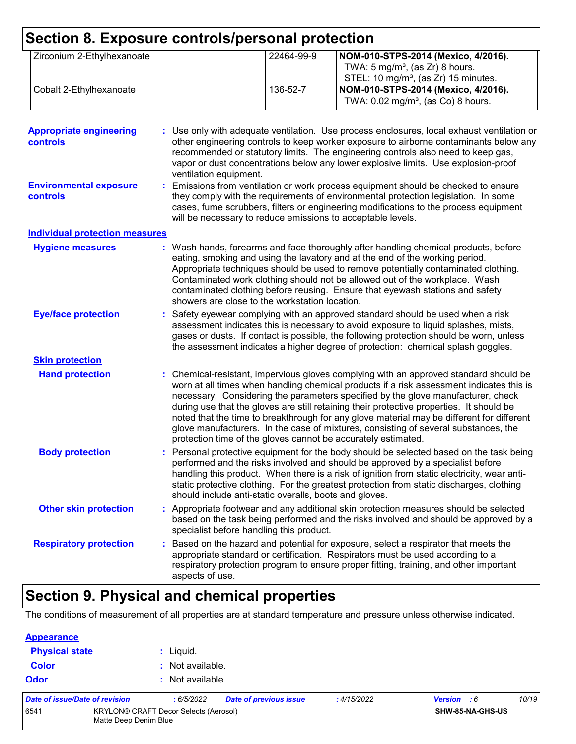| Section 8. Exposure controls/personal protection  |                                                             |                                                        |            |                                                                                                                                                                                                                                                                                                                                                                                                                                                                                                                                                                                                                        |
|---------------------------------------------------|-------------------------------------------------------------|--------------------------------------------------------|------------|------------------------------------------------------------------------------------------------------------------------------------------------------------------------------------------------------------------------------------------------------------------------------------------------------------------------------------------------------------------------------------------------------------------------------------------------------------------------------------------------------------------------------------------------------------------------------------------------------------------------|
| Zirconium 2-Ethylhexanoate                        |                                                             |                                                        | 22464-99-9 | NOM-010-STPS-2014 (Mexico, 4/2016).<br>TWA: $5 \text{ mg/m}^3$ , (as Zr) 8 hours.<br>STEL: 10 mg/m <sup>3</sup> , (as Zr) 15 minutes.                                                                                                                                                                                                                                                                                                                                                                                                                                                                                  |
| Cobalt 2-Ethylhexanoate                           |                                                             |                                                        | 136-52-7   | NOM-010-STPS-2014 (Mexico, 4/2016).<br>TWA: 0.02 mg/m <sup>3</sup> , (as Co) 8 hours.                                                                                                                                                                                                                                                                                                                                                                                                                                                                                                                                  |
| <b>Appropriate engineering</b><br><b>controls</b> |                                                             | ventilation equipment.                                 |            | : Use only with adequate ventilation. Use process enclosures, local exhaust ventilation or<br>other engineering controls to keep worker exposure to airborne contaminants below any<br>recommended or statutory limits. The engineering controls also need to keep gas,<br>vapor or dust concentrations below any lower explosive limits. Use explosion-proof                                                                                                                                                                                                                                                          |
| <b>Environmental exposure</b><br>controls         | will be necessary to reduce emissions to acceptable levels. |                                                        |            | Emissions from ventilation or work process equipment should be checked to ensure<br>they comply with the requirements of environmental protection legislation. In some<br>cases, fume scrubbers, filters or engineering modifications to the process equipment                                                                                                                                                                                                                                                                                                                                                         |
| <b>Individual protection measures</b>             |                                                             |                                                        |            |                                                                                                                                                                                                                                                                                                                                                                                                                                                                                                                                                                                                                        |
| <b>Hygiene measures</b>                           |                                                             | showers are close to the workstation location.         |            | Wash hands, forearms and face thoroughly after handling chemical products, before<br>eating, smoking and using the lavatory and at the end of the working period.<br>Appropriate techniques should be used to remove potentially contaminated clothing.<br>Contaminated work clothing should not be allowed out of the workplace. Wash<br>contaminated clothing before reusing. Ensure that eyewash stations and safety                                                                                                                                                                                                |
| <b>Eye/face protection</b>                        |                                                             |                                                        |            | Safety eyewear complying with an approved standard should be used when a risk<br>assessment indicates this is necessary to avoid exposure to liquid splashes, mists,<br>gases or dusts. If contact is possible, the following protection should be worn, unless<br>the assessment indicates a higher degree of protection: chemical splash goggles.                                                                                                                                                                                                                                                                    |
| <b>Skin protection</b>                            |                                                             |                                                        |            |                                                                                                                                                                                                                                                                                                                                                                                                                                                                                                                                                                                                                        |
| <b>Hand protection</b>                            |                                                             |                                                        |            | : Chemical-resistant, impervious gloves complying with an approved standard should be<br>worn at all times when handling chemical products if a risk assessment indicates this is<br>necessary. Considering the parameters specified by the glove manufacturer, check<br>during use that the gloves are still retaining their protective properties. It should be<br>noted that the time to breakthrough for any glove material may be different for different<br>glove manufacturers. In the case of mixtures, consisting of several substances, the<br>protection time of the gloves cannot be accurately estimated. |
| <b>Body protection</b>                            |                                                             | should include anti-static overalls, boots and gloves. |            | Personal protective equipment for the body should be selected based on the task being<br>performed and the risks involved and should be approved by a specialist before<br>handling this product. When there is a risk of ignition from static electricity, wear anti-<br>static protective clothing. For the greatest protection from static discharges, clothing                                                                                                                                                                                                                                                     |
| <b>Other skin protection</b>                      |                                                             | specialist before handling this product.               |            | Appropriate footwear and any additional skin protection measures should be selected<br>based on the task being performed and the risks involved and should be approved by a                                                                                                                                                                                                                                                                                                                                                                                                                                            |
| <b>Respiratory protection</b>                     |                                                             | aspects of use.                                        |            | : Based on the hazard and potential for exposure, select a respirator that meets the<br>appropriate standard or certification. Respirators must be used according to a<br>respiratory protection program to ensure proper fitting, training, and other important                                                                                                                                                                                                                                                                                                                                                       |

## **Section 9. Physical and chemical properties**

The conditions of measurement of all properties are at standard temperature and pressure unless otherwise indicated.

| <b>Appearance</b>                                                             |                                |                               |                               |                  |                    |       |
|-------------------------------------------------------------------------------|--------------------------------|-------------------------------|-------------------------------|------------------|--------------------|-------|
| <b>Physical state</b><br><b>Color</b>                                         |                                | $:$ Liquid.<br>Not available. |                               |                  |                    |       |
|                                                                               |                                |                               |                               |                  |                    |       |
|                                                                               | Date of issue/Date of revision | :6/5/2022                     | <b>Date of previous issue</b> | :4/15/2022       | <b>Version</b> : 6 | 10/19 |
| <b>KRYLON® CRAFT Decor Selects (Aerosol)</b><br>6541<br>Matte Deep Denim Blue |                                |                               |                               | SHW-85-NA-GHS-US |                    |       |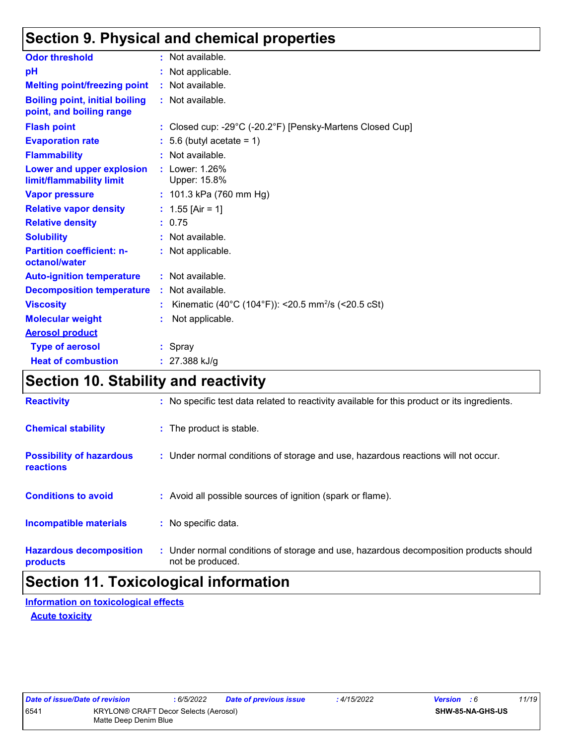## **Section 9. Physical and chemical properties**

| <b>Odor threshold</b>                                             | : Not available.                                               |
|-------------------------------------------------------------------|----------------------------------------------------------------|
| pH                                                                | : Not applicable.                                              |
| <b>Melting point/freezing point</b>                               | : Not available.                                               |
| <b>Boiling point, initial boiling</b><br>point, and boiling range | : Not available.                                               |
| <b>Flash point</b>                                                | : Closed cup: -29°C (-20.2°F) [Pensky-Martens Closed Cup]      |
| <b>Evaporation rate</b>                                           | $: 5.6$ (butyl acetate = 1)                                    |
| <b>Flammability</b>                                               | : Not available.                                               |
| <b>Lower and upper explosion</b><br>limit/flammability limit      | : Lower: 1.26%<br>Upper: 15.8%                                 |
| <b>Vapor pressure</b>                                             | : $101.3$ kPa (760 mm Hg)                                      |
| <b>Relative vapor density</b>                                     | : $1.55$ [Air = 1]                                             |
| <b>Relative density</b>                                           | : 0.75                                                         |
| <b>Solubility</b>                                                 | : Not available.                                               |
| <b>Partition coefficient: n-</b><br>octanol/water                 | : Not applicable.                                              |
| <b>Auto-ignition temperature</b>                                  | : Not available.                                               |
| <b>Decomposition temperature</b>                                  | : Not available.                                               |
| <b>Viscosity</b>                                                  | Kinematic (40°C (104°F)): <20.5 mm <sup>2</sup> /s (<20.5 cSt) |
| <b>Molecular weight</b>                                           | Not applicable.                                                |
| <b>Aerosol product</b>                                            |                                                                |
| <b>Type of aerosol</b>                                            | : Spray                                                        |
| <b>Heat of combustion</b>                                         | $: 27.388$ kJ/g                                                |

## **Section 10. Stability and reactivity**

| <b>Reactivity</b>                            | : No specific test data related to reactivity available for this product or its ingredients.              |
|----------------------------------------------|-----------------------------------------------------------------------------------------------------------|
| <b>Chemical stability</b>                    | : The product is stable.                                                                                  |
| <b>Possibility of hazardous</b><br>reactions | : Under normal conditions of storage and use, hazardous reactions will not occur.                         |
| <b>Conditions to avoid</b>                   | : Avoid all possible sources of ignition (spark or flame).                                                |
| <b>Incompatible materials</b>                | : No specific data.                                                                                       |
| <b>Hazardous decomposition</b><br>products   | : Under normal conditions of storage and use, hazardous decomposition products should<br>not be produced. |

# **Section 11. Toxicological information**

**Acute toxicity Information on toxicological effects**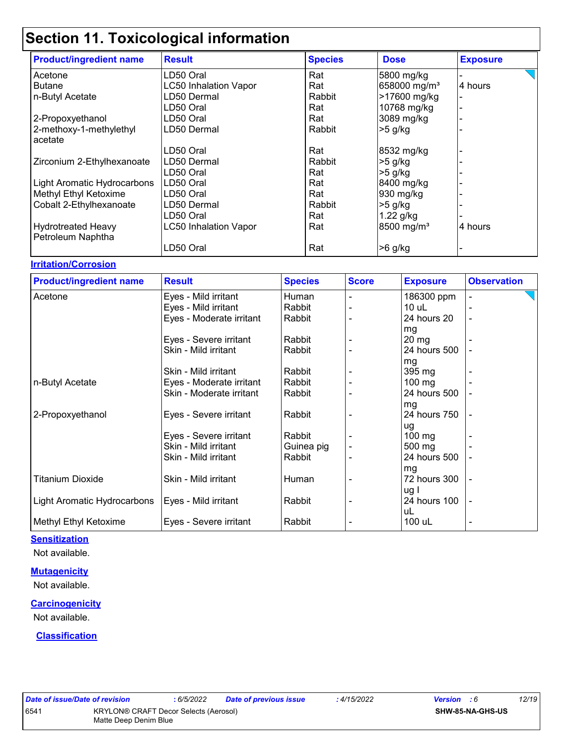| <b>Product/ingredient name</b> | <b>Result</b>                | <b>Species</b> | <b>Dose</b>              | <b>Exposure</b> |
|--------------------------------|------------------------------|----------------|--------------------------|-----------------|
| Acetone                        | LD50 Oral                    | Rat            | 5800 mg/kg               |                 |
| <b>Butane</b>                  | <b>LC50 Inhalation Vapor</b> | Rat            | 658000 mg/m <sup>3</sup> | 4 hours         |
| n-Butyl Acetate                | LD50 Dermal                  | Rabbit         | >17600 mg/kg             |                 |
|                                | LD50 Oral                    | Rat            | 10768 mg/kg              |                 |
| 2-Propoxyethanol               | LD50 Oral                    | Rat            | 3089 mg/kg               |                 |
| 2-methoxy-1-methylethyl        | LD50 Dermal                  | Rabbit         | $>5$ g/kg                |                 |
| acetate                        |                              |                |                          |                 |
|                                | LD50 Oral                    | Rat            | 8532 mg/kg               |                 |
| Zirconium 2-Ethylhexanoate     | LD50 Dermal                  | Rabbit         | $>5$ g/kg                |                 |
|                                | LD50 Oral                    | Rat            | $>5$ g/kg                |                 |
| Light Aromatic Hydrocarbons    | LD50 Oral                    | Rat            | 8400 mg/kg               |                 |
| Methyl Ethyl Ketoxime          | LD50 Oral                    | Rat            | 930 mg/kg                |                 |
| Cobalt 2-Ethylhexanoate        | LD50 Dermal                  | Rabbit         | $>5$ g/kg                |                 |
|                                | LD50 Oral                    | Rat            | $1.22$ g/kg              |                 |
| <b>Hydrotreated Heavy</b>      | <b>LC50 Inhalation Vapor</b> | Rat            | 8500 mg/m <sup>3</sup>   | 4 hours         |
| Petroleum Naphtha              |                              |                |                          |                 |
|                                | LD50 Oral                    | Rat            | $>6$ g/kg                |                 |

#### **Irritation/Corrosion**

| <b>Product/ingredient name</b> | <b>Result</b>            | <b>Species</b> | <b>Score</b> | <b>Exposure</b> | <b>Observation</b> |
|--------------------------------|--------------------------|----------------|--------------|-----------------|--------------------|
| Acetone                        | Eyes - Mild irritant     | Human          |              | 186300 ppm      |                    |
|                                | Eyes - Mild irritant     | Rabbit         |              | $10$ uL         |                    |
|                                | Eyes - Moderate irritant | Rabbit         |              | 24 hours 20     |                    |
|                                |                          |                |              | mg              |                    |
|                                | Eyes - Severe irritant   | Rabbit         |              | $20 \, mg$      |                    |
|                                | Skin - Mild irritant     | Rabbit         |              | 24 hours 500    |                    |
|                                |                          |                |              | mg              |                    |
|                                | Skin - Mild irritant     | Rabbit         |              | 395 mg          |                    |
| n-Butyl Acetate                | Eyes - Moderate irritant | Rabbit         |              | 100 mg          |                    |
|                                | Skin - Moderate irritant | Rabbit         |              | 24 hours 500    |                    |
|                                |                          |                |              | mg              |                    |
| 2-Propoxyethanol               | Eyes - Severe irritant   | Rabbit         |              | 24 hours 750    |                    |
|                                |                          |                |              | ug              |                    |
|                                | Eyes - Severe irritant   | Rabbit         |              | $100$ mg        |                    |
|                                | Skin - Mild irritant     | Guinea pig     |              | 500 mg          |                    |
|                                | Skin - Mild irritant     | Rabbit         |              | 24 hours 500    |                    |
|                                |                          |                |              | mg              |                    |
| <b>Titanium Dioxide</b>        | Skin - Mild irritant     | Human          |              | 72 hours 300    |                    |
|                                |                          |                |              | ug I            |                    |
| Light Aromatic Hydrocarbons    | Eyes - Mild irritant     | Rabbit         |              | 24 hours 100    | $\overline{a}$     |
|                                |                          |                |              | uL              |                    |
| Methyl Ethyl Ketoxime          | Eyes - Severe irritant   | Rabbit         |              | 100 uL          |                    |

#### **Sensitization**

Not available.

#### **Mutagenicity**

Not available.

#### **Carcinogenicity**

Not available.

## **Classification**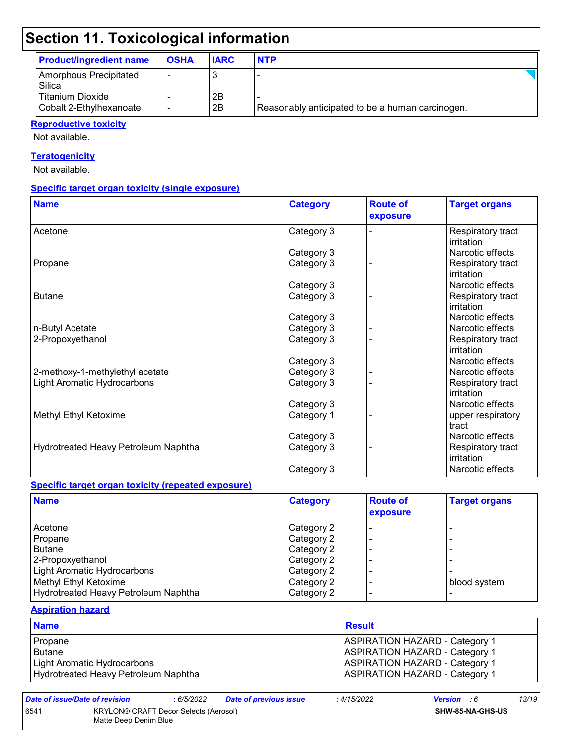| <b>Product/ingredient name</b>                     | <b>OSHA</b>              | <b>IARC</b> | <b>NTP</b>                                       |  |
|----------------------------------------------------|--------------------------|-------------|--------------------------------------------------|--|
| Amorphous Precipitated<br>Silica                   |                          |             |                                                  |  |
| <b>Titanium Dioxide</b><br>Cobalt 2-Ethylhexanoate | $\overline{\phantom{a}}$ | 2Β<br>2B    | Reasonably anticipated to be a human carcinogen. |  |

## **Reproductive toxicity**

Not available.

## **Teratogenicity**

Not available.

## **Specific target organ toxicity (single exposure)**

| <b>Name</b>                          | <b>Category</b> | <b>Route of</b><br>exposure | <b>Target organs</b>            |
|--------------------------------------|-----------------|-----------------------------|---------------------------------|
| Acetone                              | Category 3      |                             | Respiratory tract<br>irritation |
|                                      | Category 3      |                             | Narcotic effects                |
| Propane                              | Category 3      |                             | Respiratory tract<br>irritation |
|                                      | Category 3      |                             | Narcotic effects                |
| <b>Butane</b>                        | Category 3      |                             | Respiratory tract<br>irritation |
|                                      | Category 3      |                             | Narcotic effects                |
| n-Butyl Acetate                      | Category 3      |                             | Narcotic effects                |
| 2-Propoxyethanol                     | Category 3      |                             | Respiratory tract<br>irritation |
|                                      | Category 3      |                             | Narcotic effects                |
| 2-methoxy-1-methylethyl acetate      | Category 3      |                             | Narcotic effects                |
| Light Aromatic Hydrocarbons          | Category 3      |                             | Respiratory tract<br>irritation |
|                                      | Category 3      |                             | Narcotic effects                |
| Methyl Ethyl Ketoxime                | Category 1      |                             | upper respiratory<br>tract      |
|                                      | Category 3      |                             | Narcotic effects                |
| Hydrotreated Heavy Petroleum Naphtha | Category 3      |                             | Respiratory tract<br>irritation |
|                                      | Category 3      |                             | Narcotic effects                |

#### **Specific target organ toxicity (repeated exposure)**

| <b>Name</b>                          | <b>Category</b> | <b>Route of</b><br>exposure | <b>Target organs</b> |
|--------------------------------------|-----------------|-----------------------------|----------------------|
| Acetone                              | Category 2      |                             |                      |
| Propane                              | Category 2      |                             |                      |
| Butane                               | Category 2      | $\blacksquare$              |                      |
| 2-Propoxyethanol                     | Category 2      |                             |                      |
| Light Aromatic Hydrocarbons          | Category 2      |                             |                      |
| Methyl Ethyl Ketoxime                | Category 2      |                             | blood system         |
| Hydrotreated Heavy Petroleum Naphtha | Category 2      | $\overline{\phantom{0}}$    |                      |

#### **Aspiration hazard**

| <b>Name</b>                          | <b>Result</b>                         |
|--------------------------------------|---------------------------------------|
| Propane                              | <b>ASPIRATION HAZARD - Category 1</b> |
| l Butane                             | <b>ASPIRATION HAZARD - Category 1</b> |
| Light Aromatic Hydrocarbons          | <b>ASPIRATION HAZARD - Category 1</b> |
| Hydrotreated Heavy Petroleum Naphtha | <b>ASPIRATION HAZARD - Category 1</b> |

| Date of issue/Date of revision |                                       | : 6/5/2022 | <b>Date of previous issue</b> | 4/15/2022 | <b>Version</b> : 6      | 13/19 |
|--------------------------------|---------------------------------------|------------|-------------------------------|-----------|-------------------------|-------|
| 6541                           | KRYLON® CRAFT Decor Selects (Aerosol) |            |                               |           | <b>SHW-85-NA-GHS-US</b> |       |
|                                | Matte Deep Denim Blue                 |            |                               |           |                         |       |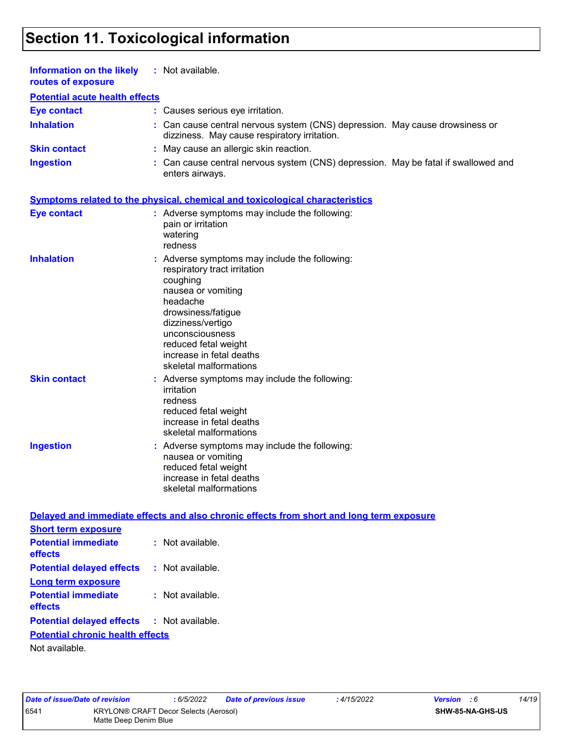| Information on the likely<br>routes of exposure           | : Not available.                                                                                                                                                                                                                                                        |
|-----------------------------------------------------------|-------------------------------------------------------------------------------------------------------------------------------------------------------------------------------------------------------------------------------------------------------------------------|
| <b>Potential acute health effects</b>                     |                                                                                                                                                                                                                                                                         |
| <b>Eye contact</b>                                        | : Causes serious eye irritation.                                                                                                                                                                                                                                        |
| <b>Inhalation</b>                                         | Can cause central nervous system (CNS) depression. May cause drowsiness or<br>dizziness. May cause respiratory irritation.                                                                                                                                              |
| <b>Skin contact</b>                                       | : May cause an allergic skin reaction.                                                                                                                                                                                                                                  |
| <b>Ingestion</b>                                          | : Can cause central nervous system (CNS) depression. May be fatal if swallowed and<br>enters airways.                                                                                                                                                                   |
|                                                           | <b>Symptoms related to the physical, chemical and toxicological characteristics</b>                                                                                                                                                                                     |
| <b>Eye contact</b>                                        | : Adverse symptoms may include the following:<br>pain or irritation<br>watering<br>redness                                                                                                                                                                              |
| <b>Inhalation</b>                                         | : Adverse symptoms may include the following:<br>respiratory tract irritation<br>coughing<br>nausea or vomiting<br>headache<br>drowsiness/fatigue<br>dizziness/vertigo<br>unconsciousness<br>reduced fetal weight<br>increase in fetal deaths<br>skeletal malformations |
| <b>Skin contact</b>                                       | : Adverse symptoms may include the following:<br>irritation<br>redness<br>reduced fetal weight<br>increase in fetal deaths<br>skeletal malformations                                                                                                                    |
| <b>Ingestion</b>                                          | : Adverse symptoms may include the following:<br>nausea or vomiting<br>reduced fetal weight<br>increase in fetal deaths<br>skeletal malformations                                                                                                                       |
|                                                           | Delayed and immediate effects and also chronic effects from short and long term exposure                                                                                                                                                                                |
| <b>Short term exposure</b>                                |                                                                                                                                                                                                                                                                         |
| <b>Potential immediate</b><br>effects                     | : Not available.                                                                                                                                                                                                                                                        |
| <b>Potential delayed effects</b>                          | : Not available.                                                                                                                                                                                                                                                        |
| <b>Long term exposure</b>                                 |                                                                                                                                                                                                                                                                         |
| <b>Potential immediate</b><br>effects                     | : Not available.                                                                                                                                                                                                                                                        |
| <b>Potential delayed effects</b>                          | : Not available.                                                                                                                                                                                                                                                        |
| <b>Potential chronic health effects</b><br>Not available. |                                                                                                                                                                                                                                                                         |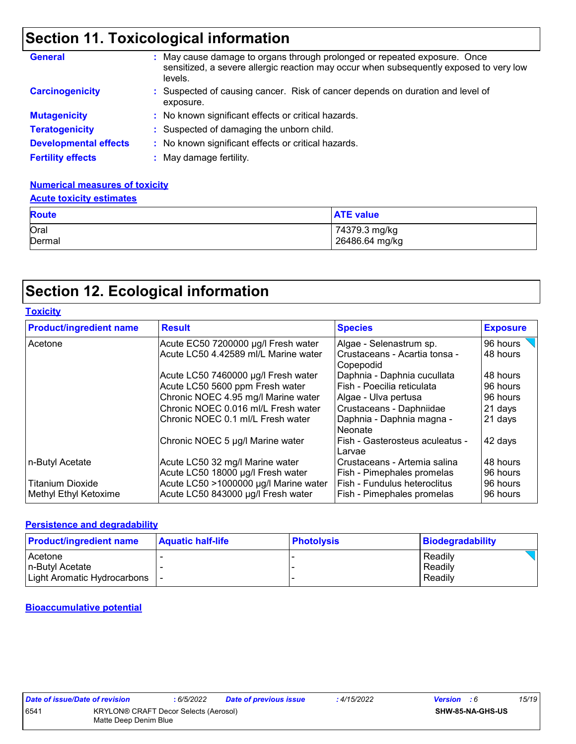| <b>General</b>               | May cause damage to organs through prolonged or repeated exposure. Once<br>sensitized, a severe allergic reaction may occur when subsequently exposed to very low<br>levels. |
|------------------------------|------------------------------------------------------------------------------------------------------------------------------------------------------------------------------|
| <b>Carcinogenicity</b>       | : Suspected of causing cancer. Risk of cancer depends on duration and level of<br>exposure.                                                                                  |
| <b>Mutagenicity</b>          | : No known significant effects or critical hazards.                                                                                                                          |
| <b>Teratogenicity</b>        | : Suspected of damaging the unborn child.                                                                                                                                    |
| <b>Developmental effects</b> | No known significant effects or critical hazards.                                                                                                                            |
| <b>Fertility effects</b>     | May damage fertility.                                                                                                                                                        |

## **Numerical measures of toxicity**

## Oral 74379.3 mg/kg Dermal 26486.64 mg/kg **Route ATE value Acute toxicity estimates**

## **Section 12. Ecological information**

| <b>Toxicity</b>                |                                       |                                            |                 |
|--------------------------------|---------------------------------------|--------------------------------------------|-----------------|
| <b>Product/ingredient name</b> | <b>Result</b>                         | <b>Species</b>                             | <b>Exposure</b> |
| Acetone                        | Acute EC50 7200000 µg/l Fresh water   | Algae - Selenastrum sp.                    | 96 hours        |
|                                | Acute LC50 4.42589 ml/L Marine water  | Crustaceans - Acartia tonsa -<br>Copepodid | 48 hours        |
|                                | Acute LC50 7460000 µg/l Fresh water   | Daphnia - Daphnia cucullata                | 48 hours        |
|                                | Acute LC50 5600 ppm Fresh water       | Fish - Poecilia reticulata                 | 96 hours        |
|                                | Chronic NOEC 4.95 mg/l Marine water   | Algae - Ulva pertusa                       | 96 hours        |
|                                | Chronic NOEC 0.016 ml/L Fresh water   | Crustaceans - Daphniidae                   | 21 days         |
|                                | Chronic NOEC 0.1 ml/L Fresh water     | Daphnia - Daphnia magna -<br>Neonate       | 21 days         |
|                                | Chronic NOEC 5 µg/l Marine water      | Fish - Gasterosteus aculeatus -<br>Larvae  | 42 days         |
| n-Butyl Acetate                | Acute LC50 32 mg/l Marine water       | Crustaceans - Artemia salina               | 48 hours        |
|                                | Acute LC50 18000 µg/l Fresh water     | Fish - Pimephales promelas                 | 96 hours        |
| <b>Titanium Dioxide</b>        | Acute LC50 >1000000 µg/l Marine water | Fish - Fundulus heteroclitus               | 96 hours        |
| Methyl Ethyl Ketoxime          | Acute LC50 843000 µg/l Fresh water    | Fish - Pimephales promelas                 | 96 hours        |

### **Persistence and degradability**

| <b>Product/ingredient name</b> | <b>Aquatic half-life</b> | <b>Photolysis</b> | <b>Biodegradability</b> |
|--------------------------------|--------------------------|-------------------|-------------------------|
| Acetone                        |                          |                   | Readily                 |
| In-Butvl Acetate               |                          |                   | Readily                 |
| Light Aromatic Hydrocarbons    |                          |                   | Readily                 |

### **Bioaccumulative potential**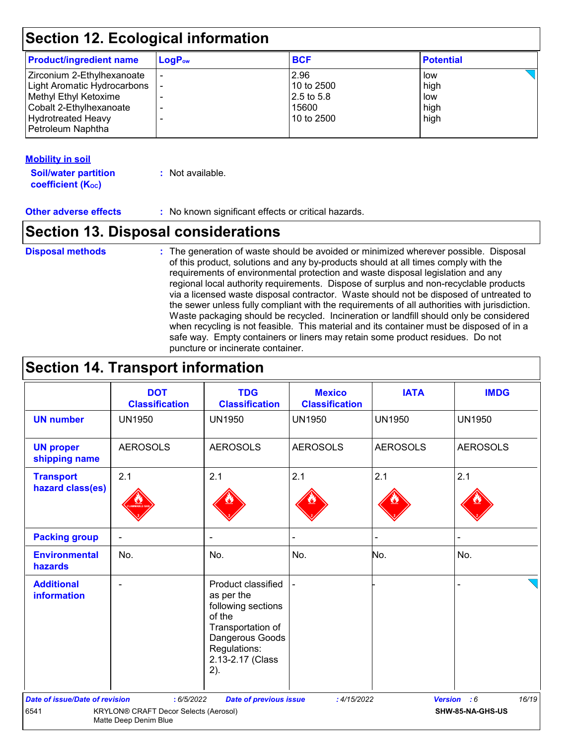| $\mathsf{LogP}_\mathsf{ow}$ | <b>BCF</b> | <b>Potential</b> |  |
|-----------------------------|------------|------------------|--|
|                             | 2.96       | low              |  |
|                             | 10 to 2500 | high             |  |
|                             | 2.5 to 5.8 | low              |  |
|                             | 15600      | high             |  |
|                             | 10 to 2500 | high             |  |
|                             |            |                  |  |
|                             |            |                  |  |

## **Mobility in soil**

**Soil/water partition coefficient (K**<sub>oc</sub>)

**:** Not available.

**Other adverse effects** : No known significant effects or critical hazards.

## **Section 13. Disposal considerations**

### **Disposal methods :**

The generation of waste should be avoided or minimized wherever possible. Disposal of this product, solutions and any by-products should at all times comply with the requirements of environmental protection and waste disposal legislation and any regional local authority requirements. Dispose of surplus and non-recyclable products via a licensed waste disposal contractor. Waste should not be disposed of untreated to the sewer unless fully compliant with the requirements of all authorities with jurisdiction. Waste packaging should be recycled. Incineration or landfill should only be considered when recycling is not feasible. This material and its container must be disposed of in a safe way. Empty containers or liners may retain some product residues. Do not puncture or incinerate container.

## **Section 14. Transport information**

|                                                                        | <b>DOT</b><br><b>Classification</b> | <b>TDG</b><br><b>Classification</b>                                                                                                                 | <b>Mexico</b><br><b>Classification</b> | <b>IATA</b>     | <b>IMDG</b>          |
|------------------------------------------------------------------------|-------------------------------------|-----------------------------------------------------------------------------------------------------------------------------------------------------|----------------------------------------|-----------------|----------------------|
| <b>UN number</b>                                                       | <b>UN1950</b>                       | <b>UN1950</b>                                                                                                                                       | <b>UN1950</b>                          | <b>UN1950</b>   | <b>UN1950</b>        |
| <b>UN proper</b><br>shipping name                                      | <b>AEROSOLS</b>                     | <b>AEROSOLS</b>                                                                                                                                     | <b>AEROSOLS</b>                        | <b>AEROSOLS</b> | <b>AEROSOLS</b>      |
| <b>Transport</b><br>hazard class(es)                                   | 2.1                                 | 2.1                                                                                                                                                 | 2.1                                    | 2.1             | 2.1                  |
| <b>Packing group</b>                                                   |                                     | $\blacksquare$                                                                                                                                      |                                        | ÷               |                      |
| <b>Environmental</b><br>hazards                                        | No.                                 | No.                                                                                                                                                 | No.                                    | No.             | No.                  |
| <b>Additional</b><br>information                                       |                                     | Product classified<br>as per the<br>following sections<br>of the<br>Transportation of<br>Dangerous Goods<br>Regulations:<br>2.13-2.17 (Class<br>2). |                                        |                 |                      |
| <b>Date of issue/Date of revision</b>                                  | : 6/5/2022                          | <b>Date of previous issue</b>                                                                                                                       | : 4/15/2022                            |                 | 16/19<br>Version : 6 |
| 6541<br>KRYLON® CRAFT Decor Selects (Aerosol)<br>Matte Deep Denim Blue |                                     | SHW-85-NA-GHS-US                                                                                                                                    |                                        |                 |                      |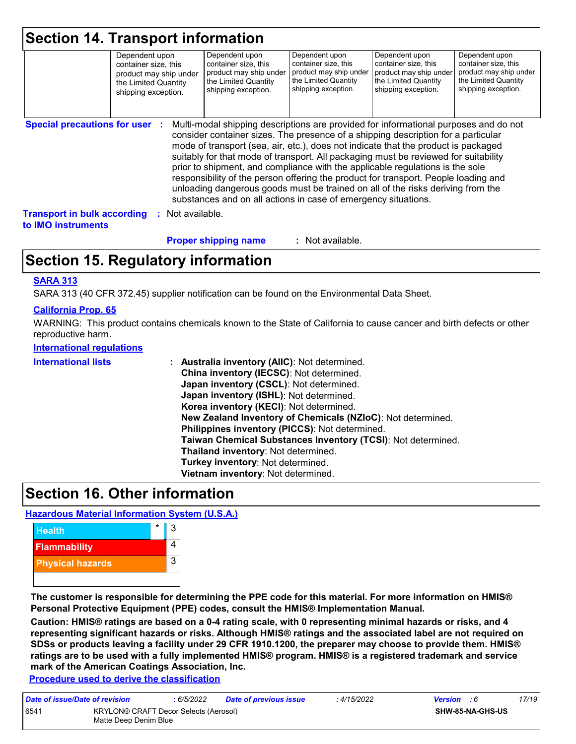|                                                                 | <b>Section 14. Transport information</b><br>Dependent upon<br>container size, this<br>product may ship under<br>the Limited Quantity<br>shipping exception. |                | Dependent upon<br>container size, this<br>product may ship under<br>the Limited Quantity<br>shipping exception.                                                                                                                                                                                                                                                                                                                                                                                                                                                                             | Dependent upon<br>container size, this<br>product may ship under<br>the Limited Quantity<br>shipping exception. | Dependent upon<br>container size, this<br>product may ship under<br>the Limited Quantity<br>shipping exception. | Dependent upon<br>container size, this<br>product may ship under<br>the Limited Quantity<br>shipping exception. |
|-----------------------------------------------------------------|-------------------------------------------------------------------------------------------------------------------------------------------------------------|----------------|---------------------------------------------------------------------------------------------------------------------------------------------------------------------------------------------------------------------------------------------------------------------------------------------------------------------------------------------------------------------------------------------------------------------------------------------------------------------------------------------------------------------------------------------------------------------------------------------|-----------------------------------------------------------------------------------------------------------------|-----------------------------------------------------------------------------------------------------------------|-----------------------------------------------------------------------------------------------------------------|
| <b>Special precautions for user :</b>                           |                                                                                                                                                             |                | Multi-modal shipping descriptions are provided for informational purposes and do not                                                                                                                                                                                                                                                                                                                                                                                                                                                                                                        |                                                                                                                 |                                                                                                                 |                                                                                                                 |
|                                                                 |                                                                                                                                                             |                | consider container sizes. The presence of a shipping description for a particular<br>mode of transport (sea, air, etc.), does not indicate that the product is packaged<br>suitably for that mode of transport. All packaging must be reviewed for suitability<br>prior to shipment, and compliance with the applicable regulations is the sole<br>responsibility of the person offering the product for transport. People loading and<br>unloading dangerous goods must be trained on all of the risks deriving from the<br>substances and on all actions in case of emergency situations. |                                                                                                                 |                                                                                                                 |                                                                                                                 |
| <b>Transport in bulk according</b><br>to <b>IMO</b> instruments |                                                                                                                                                             | Not available. |                                                                                                                                                                                                                                                                                                                                                                                                                                                                                                                                                                                             |                                                                                                                 |                                                                                                                 |                                                                                                                 |
|                                                                 |                                                                                                                                                             |                | <b>Proper shipping name</b>                                                                                                                                                                                                                                                                                                                                                                                                                                                                                                                                                                 | : Not available.                                                                                                |                                                                                                                 |                                                                                                                 |

## **Section 15. Regulatory information**

#### **SARA 313**

SARA 313 (40 CFR 372.45) supplier notification can be found on the Environmental Data Sheet.

#### **California Prop. 65**

WARNING: This product contains chemicals known to the State of California to cause cancer and birth defects or other reproductive harm.

#### **International regulations**

| <b>International lists</b> | : Australia inventory (AIIC): Not determined.<br>China inventory (IECSC): Not determined.<br>Japan inventory (CSCL): Not determined.<br>Japan inventory (ISHL): Not determined.<br>Korea inventory (KECI): Not determined.<br>New Zealand Inventory of Chemicals (NZIoC): Not determined.<br>Philippines inventory (PICCS): Not determined.<br>Taiwan Chemical Substances Inventory (TCSI): Not determined.<br>Thailand inventory: Not determined.<br>Turkey inventory: Not determined.<br>Vietnam inventory: Not determined. |
|----------------------------|-------------------------------------------------------------------------------------------------------------------------------------------------------------------------------------------------------------------------------------------------------------------------------------------------------------------------------------------------------------------------------------------------------------------------------------------------------------------------------------------------------------------------------|
|----------------------------|-------------------------------------------------------------------------------------------------------------------------------------------------------------------------------------------------------------------------------------------------------------------------------------------------------------------------------------------------------------------------------------------------------------------------------------------------------------------------------------------------------------------------------|

## **Section 16. Other information**

#### **Hazardous Material Information System (U.S.A.)**



**The customer is responsible for determining the PPE code for this material. For more information on HMIS® Personal Protective Equipment (PPE) codes, consult the HMIS® Implementation Manual.**

**Caution: HMIS® ratings are based on a 0-4 rating scale, with 0 representing minimal hazards or risks, and 4 representing significant hazards or risks. Although HMIS® ratings and the associated label are not required on SDSs or products leaving a facility under 29 CFR 1910.1200, the preparer may choose to provide them. HMIS® ratings are to be used with a fully implemented HMIS® program. HMIS® is a registered trademark and service mark of the American Coatings Association, Inc.**

**Procedure used to derive the classification**

| Date of issue/Date of revision |                                                                | : 6/5/2022 | Date of previous issue | : 4/15/2022 | <b>Version</b> : 6 |                         | 17/19 |
|--------------------------------|----------------------------------------------------------------|------------|------------------------|-------------|--------------------|-------------------------|-------|
| 6541                           | KRYLON® CRAFT Decor Selects (Aerosol)<br>Matte Deep Denim Blue |            |                        |             |                    | <b>SHW-85-NA-GHS-US</b> |       |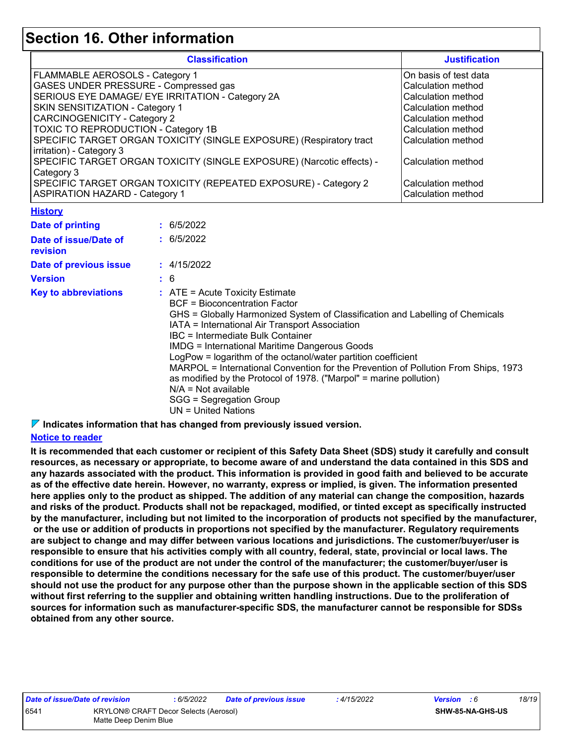## **Section 16. Other information**

| <b>Classification</b>                                                 | <b>Justification</b>  |
|-----------------------------------------------------------------------|-----------------------|
| FLAMMABLE AEROSOLS - Category 1                                       | On basis of test data |
| GASES UNDER PRESSURE - Compressed gas                                 | Calculation method    |
| SERIOUS EYE DAMAGE/ EYE IRRITATION - Category 2A                      | Calculation method    |
| SKIN SENSITIZATION - Category 1                                       | Calculation method    |
| <b>CARCINOGENICITY - Category 2</b>                                   | Calculation method    |
| TOXIC TO REPRODUCTION - Category 1B                                   | Calculation method    |
| SPECIFIC TARGET ORGAN TOXICITY (SINGLE EXPOSURE) (Respiratory tract   | Calculation method    |
| irritation) - Category 3                                              |                       |
| SPECIFIC TARGET ORGAN TOXICITY (SINGLE EXPOSURE) (Narcotic effects) - | Calculation method    |
| Category 3                                                            |                       |
| SPECIFIC TARGET ORGAN TOXICITY (REPEATED EXPOSURE) - Category 2       | Calculation method    |
| <b>ASPIRATION HAZARD - Category 1</b>                                 | Calculation method    |

#### **History**

| <b>Date of printing</b>           | : 6/5/2022                                                                                                                                                                                                                                                                                                                                                                                                                                                                                                                                                                                                                 |
|-----------------------------------|----------------------------------------------------------------------------------------------------------------------------------------------------------------------------------------------------------------------------------------------------------------------------------------------------------------------------------------------------------------------------------------------------------------------------------------------------------------------------------------------------------------------------------------------------------------------------------------------------------------------------|
| Date of issue/Date of<br>revision | : 6/5/2022                                                                                                                                                                                                                                                                                                                                                                                                                                                                                                                                                                                                                 |
| Date of previous issue            | : 4/15/2022                                                                                                                                                                                                                                                                                                                                                                                                                                                                                                                                                                                                                |
| <b>Version</b>                    | : 6                                                                                                                                                                                                                                                                                                                                                                                                                                                                                                                                                                                                                        |
| <b>Key to abbreviations</b>       | $\therefore$ ATE = Acute Toxicity Estimate<br><b>BCF</b> = Bioconcentration Factor<br>GHS = Globally Harmonized System of Classification and Labelling of Chemicals<br>IATA = International Air Transport Association<br>IBC = Intermediate Bulk Container<br><b>IMDG</b> = International Maritime Dangerous Goods<br>LogPow = logarithm of the octanol/water partition coefficient<br>MARPOL = International Convention for the Prevention of Pollution From Ships, 1973<br>as modified by the Protocol of 1978. ("Marpol" = marine pollution)<br>$N/A = Not available$<br>SGG = Segregation Group<br>UN = United Nations |

**Indicates information that has changed from previously issued version.**

### **Notice to reader**

**It is recommended that each customer or recipient of this Safety Data Sheet (SDS) study it carefully and consult resources, as necessary or appropriate, to become aware of and understand the data contained in this SDS and any hazards associated with the product. This information is provided in good faith and believed to be accurate as of the effective date herein. However, no warranty, express or implied, is given. The information presented here applies only to the product as shipped. The addition of any material can change the composition, hazards and risks of the product. Products shall not be repackaged, modified, or tinted except as specifically instructed by the manufacturer, including but not limited to the incorporation of products not specified by the manufacturer, or the use or addition of products in proportions not specified by the manufacturer. Regulatory requirements are subject to change and may differ between various locations and jurisdictions. The customer/buyer/user is responsible to ensure that his activities comply with all country, federal, state, provincial or local laws. The conditions for use of the product are not under the control of the manufacturer; the customer/buyer/user is responsible to determine the conditions necessary for the safe use of this product. The customer/buyer/user should not use the product for any purpose other than the purpose shown in the applicable section of this SDS without first referring to the supplier and obtaining written handling instructions. Due to the proliferation of sources for information such as manufacturer-specific SDS, the manufacturer cannot be responsible for SDSs obtained from any other source.**